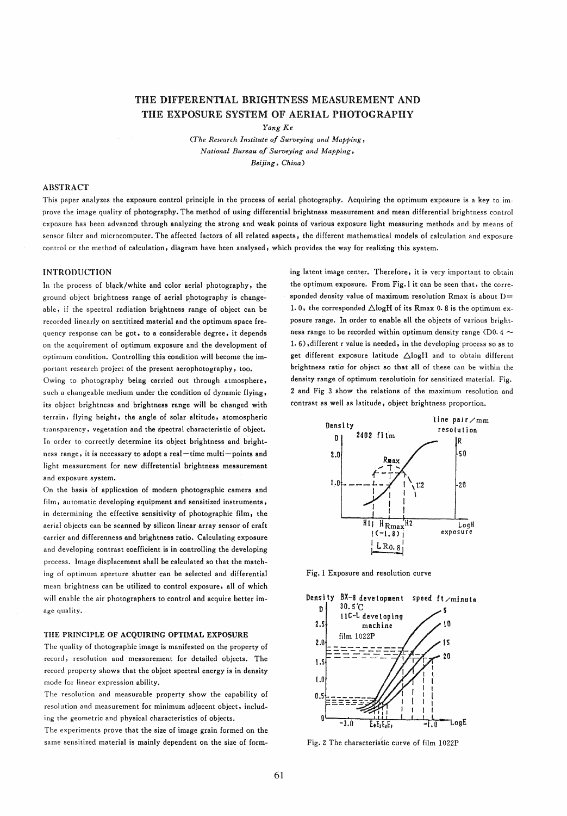# THE DIFFERENTIAL BRIGHTNESS MEASUREMENT AND THE EXPOSURE SYSTEM OF AERIAL PHOTOGRAPHY

*Yang Ke* 

*(The Research Institute* 0/ *Surveying and Mapping, National Bureau* 0/ *Surveying and Mapping, Beijing, China)* 

### **ABSTRACT**

This paper analyzes the exposure control principle in the process of aerial photography. Acquiring the optimum exposure is a key to improve the image quality of photography. The method of using differential brightness measurement and mean differential brightness control exposure has been advanced through analyzing the strong and weak points of various exposure light measuring methods and by means of sensor filter and microcomputer, The affected factors of all related aspects, the different mathematical models of calculation and exposure control or the method of calculation, diagram have been analysed, which provides the way for realizing this system,

### **INTRODUCTION**

In the process of black/white and color aerial photography, the ground object brightness range of aerial photography is changeable, if the spectral radiation brightness range of object can be recorded linearly on sentitized material and the optimum space frequency response can be got, to a considerable degree, it depends on the acquirement of optimum exposure and the development of optimum condition. Controlling this condition will become the important research project of the present aerophotography, too.

Owing to photography being carried out through atmosphere, such a changeable medium under the condition of dynamic flying, its object brightness and brightness range will be changed with terrain, flying height, the angle of solar altitude, atomospheric transparency, vegetation and the spectral characteristic of object. In order to correctly determine its object brightness and brightness range, it is necessary to adopt a real-time multi-points and light measurement for new diffretential brightness measurement and exposure system.

On the basis of application of modern photographic camera and film, automatie developing equipment and sensitized instruments. in determining the effective sensitivity of photographic film, the aerial objects can be scanned by silicon linear array sensor of craft carrier and differenness and brightness ratio. Calculating exposure and developing contrast coefficient is in controlling the developing process. Image displacement shall be calculated so that the matching of optimum aperture shutter can be selected and differential mean brightness can be utilized to control exposure, all of which will enable the air photographers to control and acquire better image quality.

### THE PRINCIPLE OF ACQUIRING OPTIMAL EXPOSURE

The quality of thotographic image is manifested on the property of record, resolution and measurement for detailed objects. The record property shows that the object spectral energy is in density mode for linear expression ability.

The resolution and measurable property show the capability of resolution and measurement for minimum adjacent object, including tbe geometrie and physical characteristics of objects.

The experiments prove that the size of image grain formed on the same sensitized material is mainly dependent on the size of forming latent image center. Therefore, it is very important to obtain the optimum exposure. From Fig, 1 it can be seen that, the corresponded density value of maximum resolution Rmax is about  $D=$ 1. 0, the corresponded  $\triangle$ logH of its Rmax 0. 8 is the optimum exposure range. In order to enable all the objects of various brightness range to be recorded within optimum density range (D0.4  $\sim$ 1. 6) ,different r value is needed, in the developing process so as to get different exposure latitude  $\triangle$ logH and to obtain different brightness ratio for object so that all of these can be within tbe density range of optimum resolutioin for sensitized material. Fig. 2 and Fig 3 show the relations of the maximum resolution and contrast as well as latitude, object brightness proportion.



Fig.1 Exposure and resolution curve



Fig.2 The characteris'tic curve of film l022P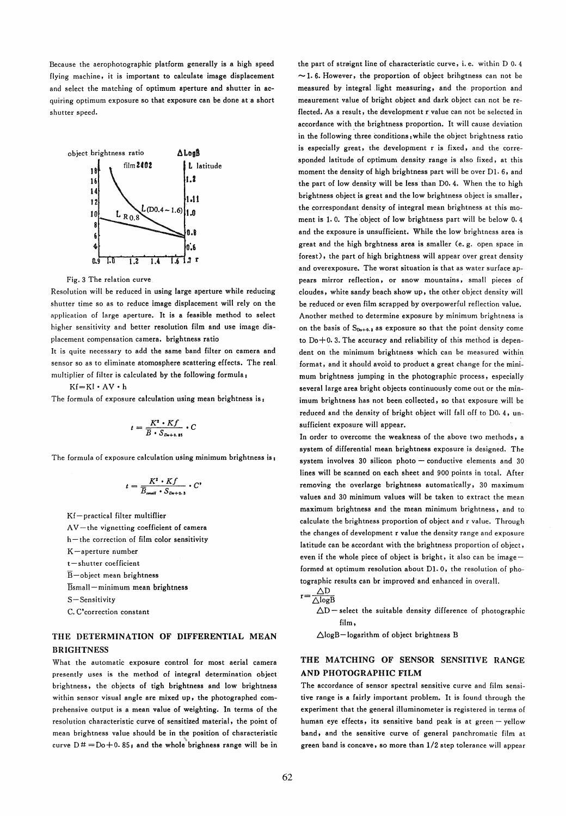Because the aerophotographic platform generally is a high speed flying machine, it is important to calculate image displacement and select the matching of optimum aperture and shutter in acquiring optimum exposure so that exposure can be done at a short shutter speed.



Fig. 3 The relation curve

Resolution will be reduced in using large aperture while reducing shutter time so as to reduce image displacement will rely on the application of large aperture. It is a feasibte method to select higher sensitivity and better resolution film and use image displacement compensation camera. brightness ratio

It is quite necessary to add the same band filter on camera and sensor so as to eliminate atomosphere scattering effects. The real. multiplier of filter is calculated by the following formula,

Kf=KI· AV· h

The formula of exposure calculation using mean brightness is,

$$
t = \frac{K^2 \cdot Kf}{\overline{B} \cdot S_{D+0.85}} \cdot C
$$

The formula of exposure calculation using minimum brightness is  $\mathbf{I}$ 

$$
t = \frac{K^2 \cdot Kf}{\overline{B}_{\text{small}}} \cdot S_{\text{Do}+0.3}} \cdot C^*
$$

Kf-practical filter multiflier  $AV$  – the vignetting coefficient of camera  $h$ -the correction of film color sensitivity K-aperture number t-shutter coefficient  $\overline{B}$ -object mean brightness Bsmall-minimum mean brightness S-Sensitivity C. C'correction constant

# THE DETERMINATION OF DIFFERENTIAL MEAN **BRIGHTNESS**

What the automatic exposure control for most aerial camera presently uses is the method of integral determination object brightness, the objects of tigh brightness and low brightness within sensor visual angle are mixed up, the photographed comprehensive output is a mean value of weighting. In terms of the resolution characteristic curve of sensitized material, the point of mean brightness value should be in the position of characteristic curve  $D# = Do + 0.85$ ; and the whole brighness range will be in the part of straignt line of characteristic curve, i.e. within  $D$  0.4  $\sim$  1.6. However, the proportion of object brihgtness can not be measured by integral .light measuring, and the proportion and meaurement value of bright object and dark object can not be reflected. As a result, the development r value can not be selected in accordance with the brightness proportion. It will cause deviation in the following three conditions while the object brightness ratio is especially great, the development r is fixed, and the corresponded latitude of optimum density range is also fixed, at this moment the density of high brightness part will be over Dl. 6, and the part of low density will be less than DO. 4. When the to high brightness object is great and the low brightness object is smaller. the correspondant density of integral mean brightness at this moment is 1.0. The object of low brightness part will be below 0.4 and the exposure is unsufficient. While the low brightness area is great and the high brghtness area is smaller (e. g. open space in forest), the part of high brightness will appear over great density and overexposure. The worst situation is that as water surface appears mirror reflection, or snow mountains, small pieces of cloudes , white sandy beach show up, the other object density will be reduced or even film scrapped by overpowerful reflection value. Another methed to determine exposure by minimum brightness is on the basis of  $S_{Do+0.3}$  as exposure so that the point density come to  $Do+0.3$ . The accuracy and reliability of this method is dependent on the minimum brightness which can be measured within format, and it should avoid to product a great change for the minimum brightness jumping in the photographic process, especially several large area bright objects continuously come out or the minimum brightness has not been collected, so that exposure will be reduced and the density of bright object will fall off to D0. 4, unsufficient exposure will appear.

In order to overcome the weakness of the above two methods, a system of differential mean brightness exposure is designed. The system involves  $30$  silicon photo - conductive elements and  $30$ Iines will be scanned on each sheet and 900 points in total. After removing the overlarge brightness automatically, 30 maximum values and 30 minimum values will be taken to extract the mean maximum brightness and the mean minimum brightness. and to calculate the brightness proportion of object and r value. Through the changes of development r value the density range and exposure latitude can be accordant with the brightness proportion of object, even if the whole piece of object is bright, it also can be imageformed at optimum resolution about Dl. 0, the resolution of photographic results can br improved and enhanced in overall.  $AD$ 

$$
r = \frac{\Delta E}{\Delta \log B}
$$

 $\Delta D$  - select the suitable density difference of photographic film,

 $\triangle$ logB-logarithm of object brightness B

## THE MATCHING OF SENSOR SENSITIVE RANGE AND PHOTOGRAPHIC FILM

The accordance of sensor spectral sensitive curve and film sensitive range is a fairly important problem. It is found through the experiment that the general ilIuminometer is registered in terms of human eye effects, its sensitive band peak is at green - yellow band, and the sensitive curve of general panchromatic film at green band is concave, so more than 1/2 step tolerance will appear